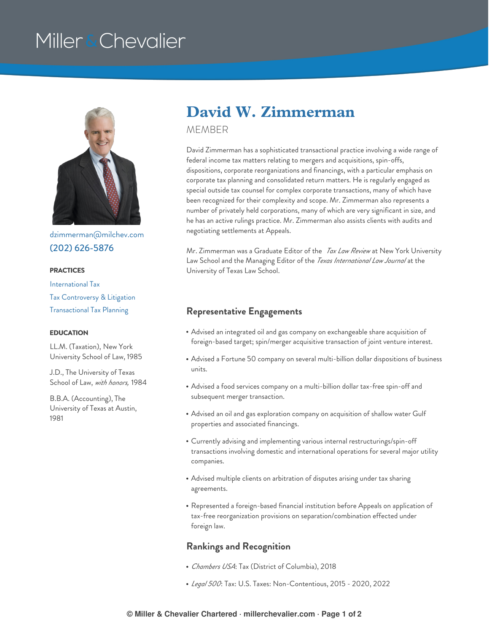# Miller & Chevalier



[dzimmerman@milchev.com](mailto:dzimmerman@milchev.com) (202) [626-5876](tel:202-626-5876)

#### **PRACTICES**

[International](https://www.millerchevalier.com/practice-area/international-tax) Tax Tax [Controversy](https://www.millerchevalier.com/practice-area/tax-controversy-litigation) & Litigation [Transactional](https://www.millerchevalier.com/practice-area/transactional-tax-planning) Tax Planning

#### **EDUCATION**

LL.M. (Taxation), New York University School of Law, 1985

J.D., The University of Texas School of Law, *with honors,* 1984

B.B.A. (Accounting), The University of Texas at Austin, 1981

## **David W. Zimmerman**

MEMBER

David Zimmerman has a sophisticated transactional practice involving a wide range of federal income tax matters relating to mergers and acquisitions, spin-offs, dispositions, corporate reorganizations and financings, with a particular emphasis on corporate tax planning and consolidated return matters. He is regularly engaged as special outside tax counsel for complex corporate transactions, many of which have been recognized for their complexity and scope. Mr. Zimmerman also represents a number of privately held corporations, many of which are very significant in size, and he has an active rulings practice. Mr. Zimmerman also assists clients with audits and negotiating settlements at Appeals.

Mr. Zimmerman was a Graduate Editor of the *Tax Law Review* at New York University Law School and the Managing Editor of the *Texas International Law Journal* at the University of Texas Law School.

#### **Representative Engagements**

- Advised an integrated oil and gas company on exchangeable share acquisition of foreign-based target; spin/merger acquisitive transaction of joint venture interest.
- Advised a Fortune 50 company on several multi-billion dollar dispositions of business units.
- Advised a food services company on a multi-billion dollar tax-free spin-off and subsequent merger transaction.
- Advised an oil and gas exploration company on acquisition of shallow water Gulf properties and associated financings.
- Currently advising and implementing various internal restructurings/spin-off transactions involving domestic and international operations for several major utility companies.
- Advised multiple clients on arbitration of disputes arising under tax sharing agreements.
- Represented a foreign-based financial institution before Appeals on application of tax-free reorganization provisions on separation/combination effected under foreign law.

#### **Rankings and Recognition**

- *Chambers USA*: Tax (District of Columbia), 2018
- *Legal 500*: Tax: U.S. Taxes: Non-Contentious, 2015 2020, 2022